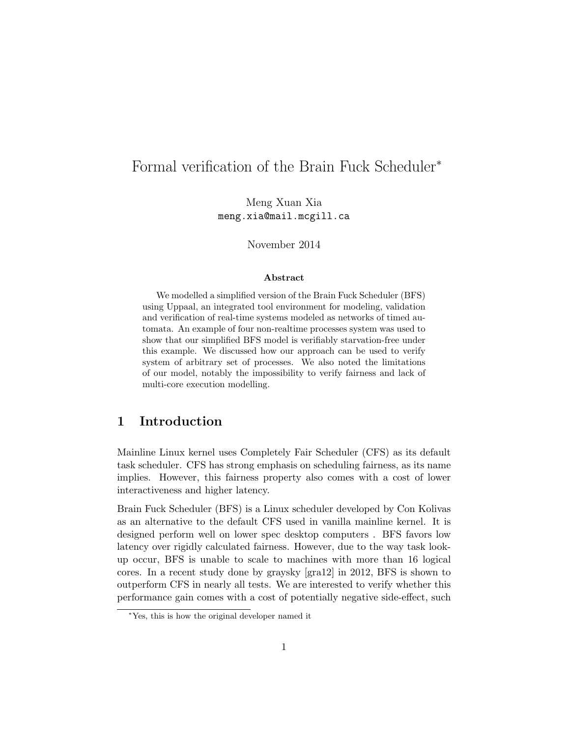# Formal verification of the Brain Fuck Scheduler<sup>∗</sup>

Meng Xuan Xia meng.xia@mail.mcgill.ca

November 2014

#### Abstract

We modelled a simplified version of the Brain Fuck Scheduler (BFS) using Uppaal, an integrated tool environment for modeling, validation and verification of real-time systems modeled as networks of timed automata. An example of four non-realtime processes system was used to show that our simplified BFS model is verifiably starvation-free under this example. We discussed how our approach can be used to verify system of arbitrary set of processes. We also noted the limitations of our model, notably the impossibility to verify fairness and lack of multi-core execution modelling.

# 1 Introduction

Mainline Linux kernel uses Completely Fair Scheduler (CFS) as its default task scheduler. CFS has strong emphasis on scheduling fairness, as its name implies. However, this fairness property also comes with a cost of lower interactiveness and higher latency.

Brain Fuck Scheduler (BFS) is a Linux scheduler developed by Con Kolivas as an alternative to the default CFS used in vanilla mainline kernel. It is designed perform well on lower spec desktop computers . BFS favors low latency over rigidly calculated fairness. However, due to the way task lookup occur, BFS is unable to scale to machines with more than 16 logical cores. In a recent study done by graysky [gra12] in 2012, BFS is shown to outperform CFS in nearly all tests. We are interested to verify whether this performance gain comes with a cost of potentially negative side-effect, such

<sup>∗</sup>Yes, this is how the original developer named it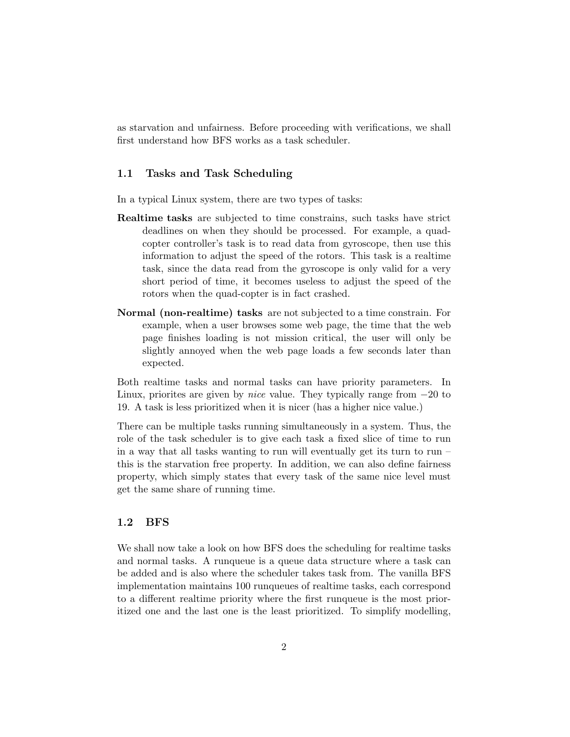as starvation and unfairness. Before proceeding with verifications, we shall first understand how BFS works as a task scheduler.

#### 1.1 Tasks and Task Scheduling

In a typical Linux system, there are two types of tasks:

- Realtime tasks are subjected to time constrains, such tasks have strict deadlines on when they should be processed. For example, a quadcopter controller's task is to read data from gyroscope, then use this information to adjust the speed of the rotors. This task is a realtime task, since the data read from the gyroscope is only valid for a very short period of time, it becomes useless to adjust the speed of the rotors when the quad-copter is in fact crashed.
- Normal (non-realtime) tasks are not subjected to a time constrain. For example, when a user browses some web page, the time that the web page finishes loading is not mission critical, the user will only be slightly annoyed when the web page loads a few seconds later than expected.

Both realtime tasks and normal tasks can have priority parameters. In Linux, priorites are given by *nice* value. They typically range from  $-20$  to 19. A task is less prioritized when it is nicer (has a higher nice value.)

There can be multiple tasks running simultaneously in a system. Thus, the role of the task scheduler is to give each task a fixed slice of time to run in a way that all tasks wanting to run will eventually get its turn to run – this is the starvation free property. In addition, we can also define fairness property, which simply states that every task of the same nice level must get the same share of running time.

### 1.2 BFS

We shall now take a look on how BFS does the scheduling for realtime tasks and normal tasks. A runqueue is a queue data structure where a task can be added and is also where the scheduler takes task from. The vanilla BFS implementation maintains 100 runqueues of realtime tasks, each correspond to a different realtime priority where the first runqueue is the most prioritized one and the last one is the least prioritized. To simplify modelling,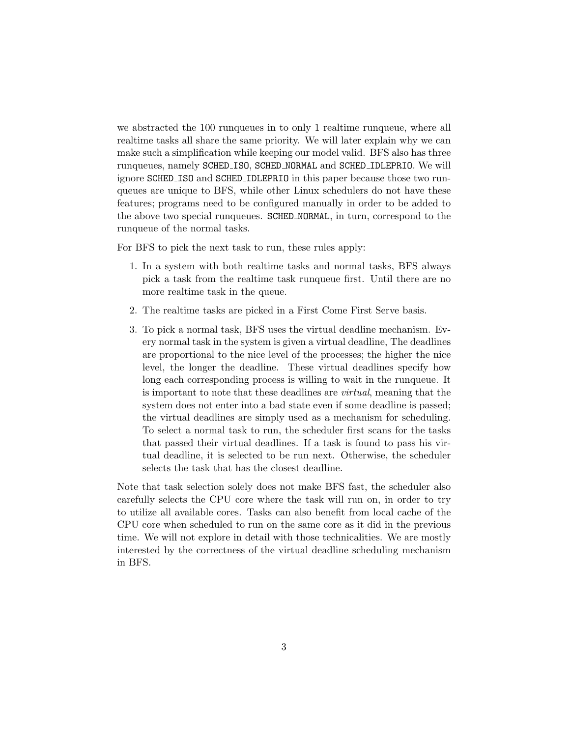we abstracted the 100 runqueues in to only 1 realtime runqueue, where all realtime tasks all share the same priority. We will later explain why we can make such a simplification while keeping our model valid. BFS also has three runqueues, namely SCHED ISO, SCHED NORMAL and SCHED IDLEPRIO. We will ignore SCHED ISO and SCHED IDLEPRIO in this paper because those two runqueues are unique to BFS, while other Linux schedulers do not have these features; programs need to be configured manually in order to be added to the above two special runqueues. SCHED NORMAL, in turn, correspond to the runqueue of the normal tasks.

For BFS to pick the next task to run, these rules apply:

- 1. In a system with both realtime tasks and normal tasks, BFS always pick a task from the realtime task runqueue first. Until there are no more realtime task in the queue.
- 2. The realtime tasks are picked in a First Come First Serve basis.
- 3. To pick a normal task, BFS uses the virtual deadline mechanism. Every normal task in the system is given a virtual deadline, The deadlines are proportional to the nice level of the processes; the higher the nice level, the longer the deadline. These virtual deadlines specify how long each corresponding process is willing to wait in the runqueue. It is important to note that these deadlines are virtual, meaning that the system does not enter into a bad state even if some deadline is passed; the virtual deadlines are simply used as a mechanism for scheduling. To select a normal task to run, the scheduler first scans for the tasks that passed their virtual deadlines. If a task is found to pass his virtual deadline, it is selected to be run next. Otherwise, the scheduler selects the task that has the closest deadline.

Note that task selection solely does not make BFS fast, the scheduler also carefully selects the CPU core where the task will run on, in order to try to utilize all available cores. Tasks can also benefit from local cache of the CPU core when scheduled to run on the same core as it did in the previous time. We will not explore in detail with those technicalities. We are mostly interested by the correctness of the virtual deadline scheduling mechanism in BFS.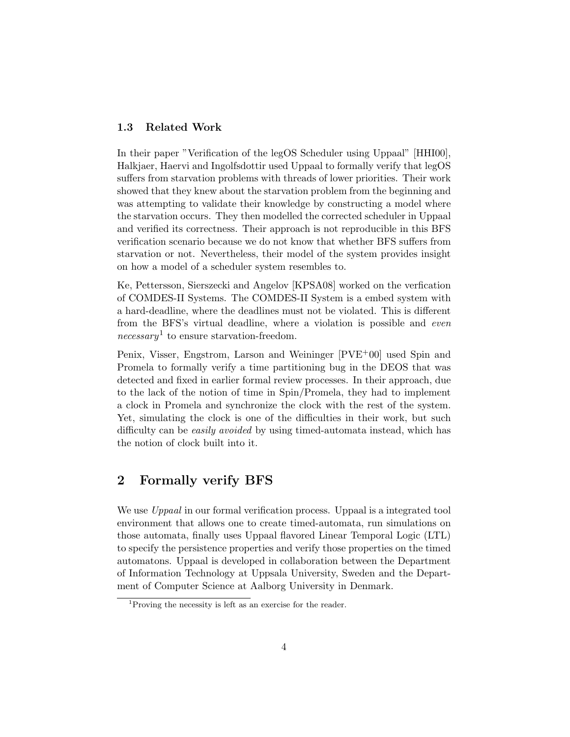#### 1.3 Related Work

In their paper "Verification of the legOS Scheduler using Uppaal" [HHI00], Halkjaer, Haervi and Ingolfsdottir used Uppaal to formally verify that legOS suffers from starvation problems with threads of lower priorities. Their work showed that they knew about the starvation problem from the beginning and was attempting to validate their knowledge by constructing a model where the starvation occurs. They then modelled the corrected scheduler in Uppaal and verified its correctness. Their approach is not reproducible in this BFS verification scenario because we do not know that whether BFS suffers from starvation or not. Nevertheless, their model of the system provides insight on how a model of a scheduler system resembles to.

Ke, Pettersson, Sierszecki and Angelov [KPSA08] worked on the verfication of COMDES-II Systems. The COMDES-II System is a embed system with a hard-deadline, where the deadlines must not be violated. This is different from the BFS's virtual deadline, where a violation is possible and even  $necessary<sup>1</sup>$  to ensure starvation-freedom.

Penix, Visser, Engstrom, Larson and Weininger [PVE+00] used Spin and Promela to formally verify a time partitioning bug in the DEOS that was detected and fixed in earlier formal review processes. In their approach, due to the lack of the notion of time in Spin/Promela, they had to implement a clock in Promela and synchronize the clock with the rest of the system. Yet, simulating the clock is one of the difficulties in their work, but such difficulty can be *easily avoided* by using timed-automata instead, which has the notion of clock built into it.

# 2 Formally verify BFS

We use *Uppaal* in our formal verification process. Uppaal is a integrated tool environment that allows one to create timed-automata, run simulations on those automata, finally uses Uppaal flavored Linear Temporal Logic (LTL) to specify the persistence properties and verify those properties on the timed automatons. Uppaal is developed in collaboration between the Department of Information Technology at Uppsala University, Sweden and the Department of Computer Science at Aalborg University in Denmark.

<sup>&</sup>lt;sup>1</sup>Proving the necessity is left as an exercise for the reader.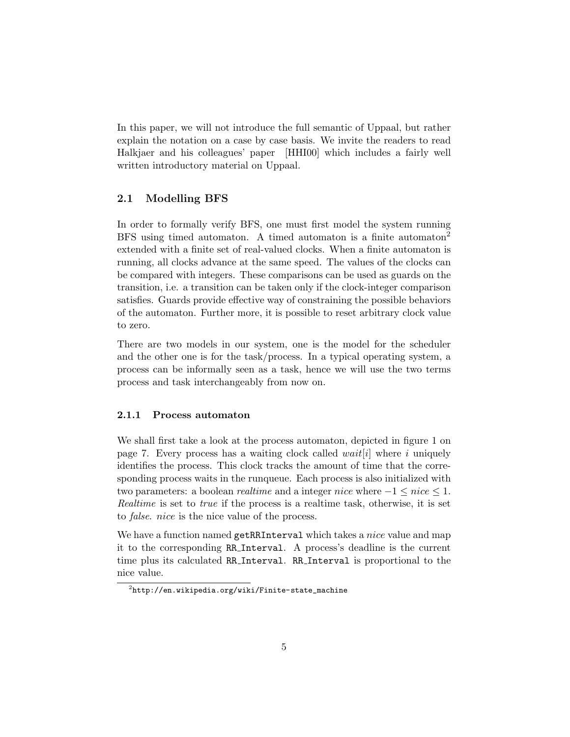In this paper, we will not introduce the full semantic of Uppaal, but rather explain the notation on a case by case basis. We invite the readers to read Halkjaer and his colleagues' paper [HHI00] which includes a fairly well written introductory material on Uppaal.

#### 2.1 Modelling BFS

In order to formally verify BFS, one must first model the system running BFS using timed automaton. A timed automaton is a finite automaton<sup>2</sup> extended with a finite set of real-valued clocks. When a finite automaton is running, all clocks advance at the same speed. The values of the clocks can be compared with integers. These comparisons can be used as guards on the transition, i.e. a transition can be taken only if the clock-integer comparison satisfies. Guards provide effective way of constraining the possible behaviors of the automaton. Further more, it is possible to reset arbitrary clock value to zero.

There are two models in our system, one is the model for the scheduler and the other one is for the task/process. In a typical operating system, a process can be informally seen as a task, hence we will use the two terms process and task interchangeably from now on.

#### 2.1.1 Process automaton

We shall first take a look at the process automaton, depicted in figure 1 on page 7. Every process has a waiting clock called *wait*[i] where i uniquely identifies the process. This clock tracks the amount of time that the corresponding process waits in the runqueue. Each process is also initialized with two parameters: a boolean *realtime* and a integer *nice* where  $-1 \leq nice \leq 1$ . Realtime is set to true if the process is a realtime task, otherwise, it is set to false. nice is the nice value of the process.

We have a function named getRRInterval which takes a *nice* value and map it to the corresponding RR Interval. A process's deadline is the current time plus its calculated RR Interval. RR Interval is proportional to the nice value.

 $^{2}$ http://en.wikipedia.org/wiki/Finite-state\_machine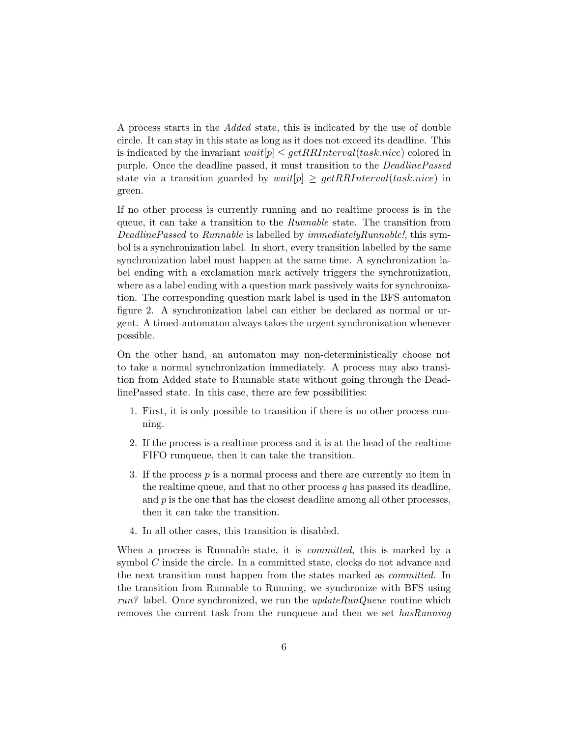A process starts in the Added state, this is indicated by the use of double circle. It can stay in this state as long as it does not exceed its deadline. This is indicated by the invariant  $wait[p] \leq getRRInterval(task.nice)$  colored in purple. Once the deadline passed, it must transition to the DeadlinePassed state via a transition guarded by  $wait[p] \geq getRRInterval(task.nice)$  in green.

If no other process is currently running and no realtime process is in the queue, it can take a transition to the Runnable state. The transition from DeadlinePassed to Runnable is labelled by *immediatelyRunnable!*, this symbol is a synchronization label. In short, every transition labelled by the same synchronization label must happen at the same time. A synchronization label ending with a exclamation mark actively triggers the synchronization, where as a label ending with a question mark passively waits for synchronization. The corresponding question mark label is used in the BFS automaton figure 2. A synchronization label can either be declared as normal or urgent. A timed-automaton always takes the urgent synchronization whenever possible.

On the other hand, an automaton may non-deterministically choose not to take a normal synchronization immediately. A process may also transition from Added state to Runnable state without going through the DeadlinePassed state. In this case, there are few possibilities:

- 1. First, it is only possible to transition if there is no other process running.
- 2. If the process is a realtime process and it is at the head of the realtime FIFO runqueue, then it can take the transition.
- 3. If the process  $p$  is a normal process and there are currently no item in the realtime queue, and that no other process  $q$  has passed its deadline, and  $p$  is the one that has the closest deadline among all other processes, then it can take the transition.
- 4. In all other cases, this transition is disabled.

When a process is Runnable state, it is *committed*, this is marked by a symbol C inside the circle. In a committed state, clocks do not advance and the next transition must happen from the states marked as committed. In the transition from Runnable to Running, we synchronize with BFS using  $run$ ? label. Once synchronized, we run the  $updateRunQueue$  routine which removes the current task from the runqueue and then we set *hasRunning*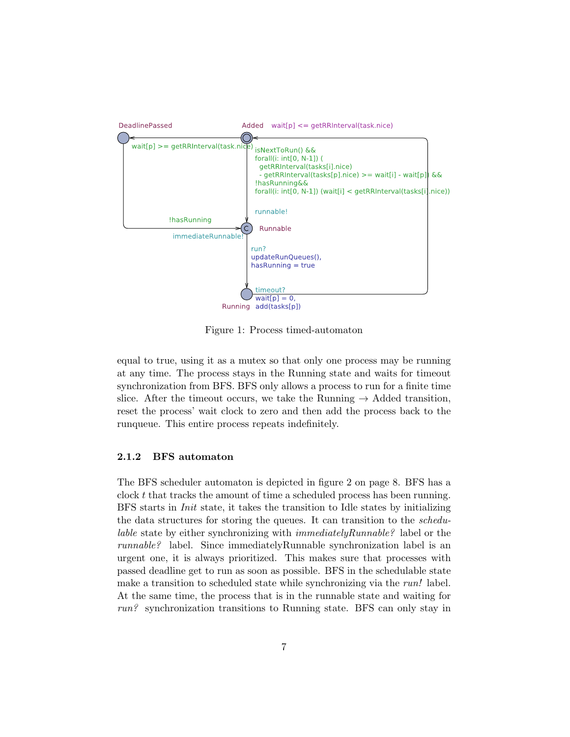

Figure 1: Process timed-automaton

equal to true, using it as a mutex so that only one process may be running at any time. The process stays in the Running state and waits for timeout synchronization from BFS. BFS only allows a process to run for a finite time slice. After the timeout occurs, we take the Running  $\rightarrow$  Added transition, reset the process' wait clock to zero and then add the process back to the runqueue. This entire process repeats indefinitely.

#### 2.1.2 BFS automaton

The BFS scheduler automaton is depicted in figure 2 on page 8. BFS has a clock t that tracks the amount of time a scheduled process has been running. BFS starts in Init state, it takes the transition to Idle states by initializing the data structures for storing the queues. It can transition to the schedulable state by either synchronizing with immediatelyRunnable? label or the runnable? label. Since immediatelyRunnable synchronization label is an urgent one, it is always prioritized. This makes sure that processes with passed deadline get to run as soon as possible. BFS in the schedulable state make a transition to scheduled state while synchronizing via the *run!* label. At the same time, the process that is in the runnable state and waiting for run? synchronization transitions to Running state. BFS can only stay in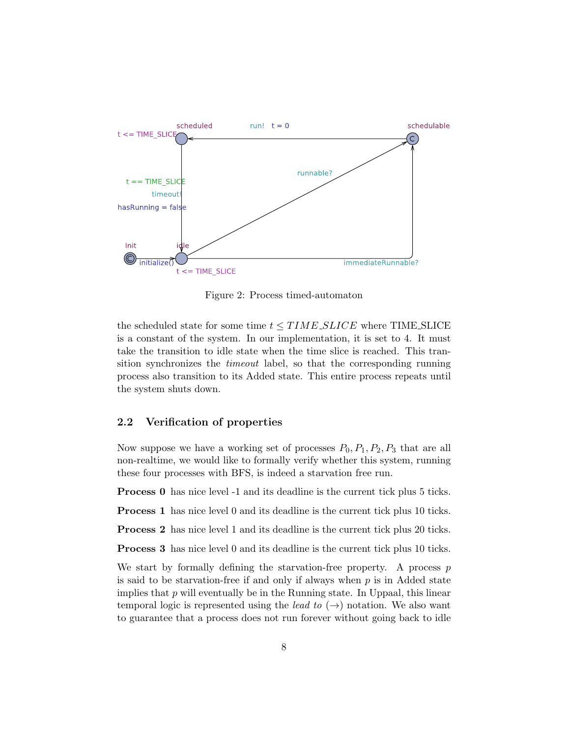

Figure 2: Process timed-automaton

the scheduled state for some time  $t \leq TIME\_SLICE$  where TIME\_SLICE is a constant of the system. In our implementation, it is set to 4. It must take the transition to idle state when the time slice is reached. This transition synchronizes the timeout label, so that the corresponding running process also transition to its Added state. This entire process repeats until the system shuts down.

### 2.2 Verification of properties

Now suppose we have a working set of processes  $P_0$ ,  $P_1$ ,  $P_2$ ,  $P_3$  that are all non-realtime, we would like to formally verify whether this system, running these four processes with BFS, is indeed a starvation free run.

Process 0 has nice level -1 and its deadline is the current tick plus 5 ticks.

Process 1 has nice level 0 and its deadline is the current tick plus 10 ticks.

Process 2 has nice level 1 and its deadline is the current tick plus 20 ticks.

Process 3 has nice level 0 and its deadline is the current tick plus 10 ticks.

We start by formally defining the starvation-free property. A process  $p$ is said to be starvation-free if and only if always when  $p$  is in Added state implies that  $p$  will eventually be in the Running state. In Uppaal, this linear temporal logic is represented using the *lead to*  $(\rightarrow)$  notation. We also want to guarantee that a process does not run forever without going back to idle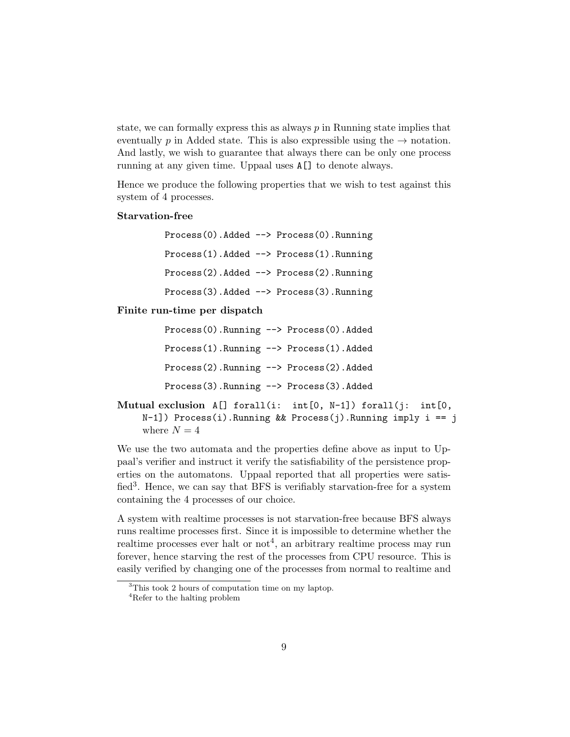state, we can formally express this as always  $p$  in Running state implies that eventually p in Added state. This is also expressible using the  $\rightarrow$  notation. And lastly, we wish to guarantee that always there can be only one process running at any given time. Uppaal uses A[] to denote always.

Hence we produce the following properties that we wish to test against this system of 4 processes.

#### Starvation-free

Process(0).Added --> Process(0).Running Process(1).Added --> Process(1).Running Process(2).Added --> Process(2).Running Process(3).Added --> Process(3).Running

#### Finite run-time per dispatch

| $Process(0)$ . Running $\rightarrow$ Process(0). Added |  |
|--------------------------------------------------------|--|
| $Process(1)$ . Running $\rightarrow$ Process(1). Added |  |
| Process(2). Running --> Process(2). Added              |  |
| $Process(3)$ . Running $\rightarrow$ Process(3). Added |  |

Mutual exclusion  $A[]$  forall(i: int[0, N-1]) forall(j: int[0, N-1]) Process(i).Running && Process(j).Running imply i == j where  $N = 4$ 

We use the two automata and the properties define above as input to Uppaal's verifier and instruct it verify the satisfiability of the persistence properties on the automatons. Uppaal reported that all properties were satisfied<sup>3</sup>. Hence, we can say that BFS is verifiably starvation-free for a system containing the 4 processes of our choice.

A system with realtime processes is not starvation-free because BFS always runs realtime processes first. Since it is impossible to determine whether the realtime processes ever halt or  $\text{not}^4$ , an arbitrary realtime process may run forever, hence starving the rest of the processes from CPU resource. This is easily verified by changing one of the processes from normal to realtime and

<sup>3</sup>This took 2 hours of computation time on my laptop.

<sup>4</sup>Refer to the halting problem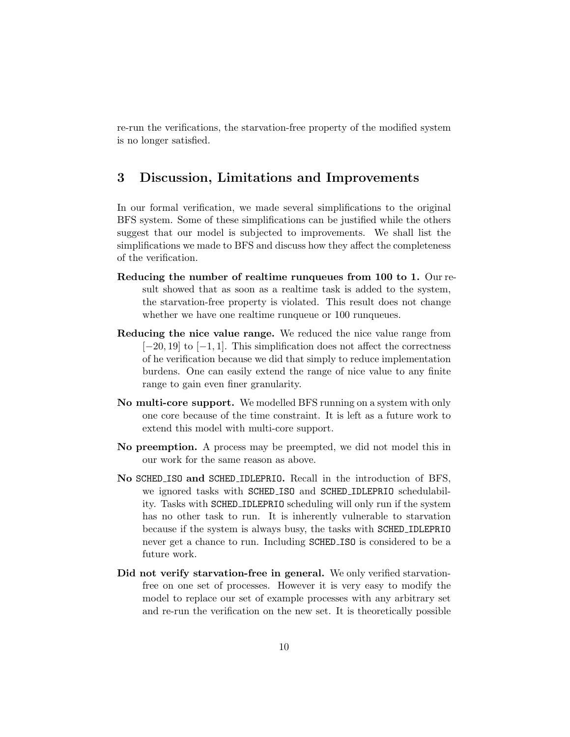re-run the verifications, the starvation-free property of the modified system is no longer satisfied.

# 3 Discussion, Limitations and Improvements

In our formal verification, we made several simplifications to the original BFS system. Some of these simplifications can be justified while the others suggest that our model is subjected to improvements. We shall list the simplifications we made to BFS and discuss how they affect the completeness of the verification.

- Reducing the number of realtime runqueues from 100 to 1. Our result showed that as soon as a realtime task is added to the system, the starvation-free property is violated. This result does not change whether we have one realtime runqueue or 100 runqueues.
- Reducing the nice value range. We reduced the nice value range from  $[-20, 19]$  to  $[-1, 1]$ . This simplification does not affect the correctness of he verification because we did that simply to reduce implementation burdens. One can easily extend the range of nice value to any finite range to gain even finer granularity.
- No multi-core support. We modelled BFS running on a system with only one core because of the time constraint. It is left as a future work to extend this model with multi-core support.
- No preemption. A process may be preempted, we did not model this in our work for the same reason as above.
- No SCHED ISO and SCHED IDLEPRIO. Recall in the introduction of BFS, we ignored tasks with SCHED ISO and SCHED IDLEPRIO schedulability. Tasks with SCHED IDLEPRIO scheduling will only run if the system has no other task to run. It is inherently vulnerable to starvation because if the system is always busy, the tasks with SCHED IDLEPRIO never get a chance to run. Including SCHED ISO is considered to be a future work.
- Did not verify starvation-free in general. We only verified starvationfree on one set of processes. However it is very easy to modify the model to replace our set of example processes with any arbitrary set and re-run the verification on the new set. It is theoretically possible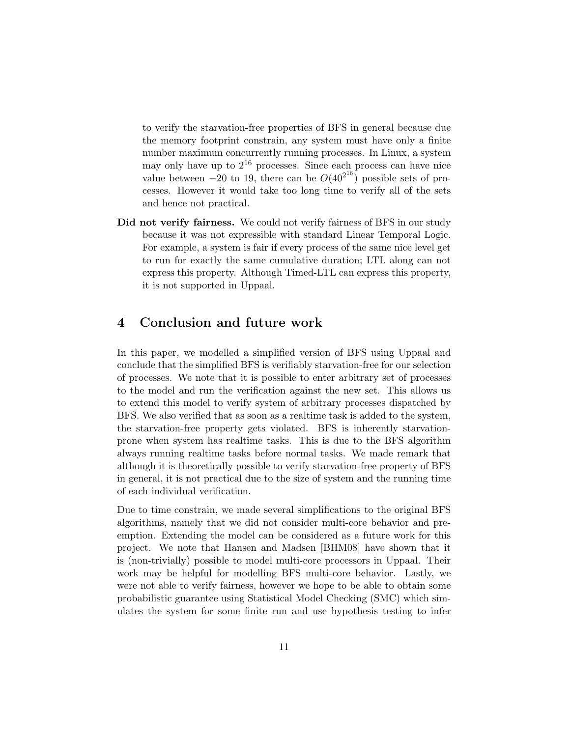to verify the starvation-free properties of BFS in general because due the memory footprint constrain, any system must have only a finite number maximum concurrently running processes. In Linux, a system may only have up to  $2^{16}$  processes. Since each process can have nice value between  $-20$  to 19, there can be  $O(40^{2^{16}})$  possible sets of processes. However it would take too long time to verify all of the sets and hence not practical.

Did not verify fairness. We could not verify fairness of BFS in our study because it was not expressible with standard Linear Temporal Logic. For example, a system is fair if every process of the same nice level get to run for exactly the same cumulative duration; LTL along can not express this property. Although Timed-LTL can express this property, it is not supported in Uppaal.

## 4 Conclusion and future work

In this paper, we modelled a simplified version of BFS using Uppaal and conclude that the simplified BFS is verifiably starvation-free for our selection of processes. We note that it is possible to enter arbitrary set of processes to the model and run the verification against the new set. This allows us to extend this model to verify system of arbitrary processes dispatched by BFS. We also verified that as soon as a realtime task is added to the system, the starvation-free property gets violated. BFS is inherently starvationprone when system has realtime tasks. This is due to the BFS algorithm always running realtime tasks before normal tasks. We made remark that although it is theoretically possible to verify starvation-free property of BFS in general, it is not practical due to the size of system and the running time of each individual verification.

Due to time constrain, we made several simplifications to the original BFS algorithms, namely that we did not consider multi-core behavior and preemption. Extending the model can be considered as a future work for this project. We note that Hansen and Madsen [BHM08] have shown that it is (non-trivially) possible to model multi-core processors in Uppaal. Their work may be helpful for modelling BFS multi-core behavior. Lastly, we were not able to verify fairness, however we hope to be able to obtain some probabilistic guarantee using Statistical Model Checking (SMC) which simulates the system for some finite run and use hypothesis testing to infer